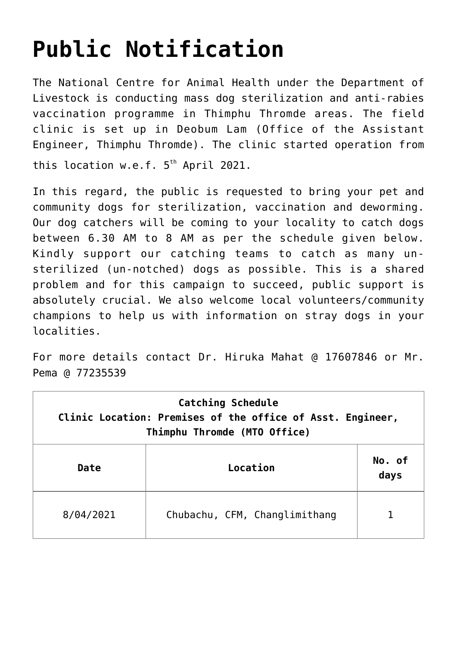## **[Public Notification](https://www.dol.gov.bt/public-notification/)**

The National Centre for Animal Health under the Department of Livestock is conducting mass dog sterilization and anti-rabies vaccination programme in Thimphu Thromde areas. The field clinic is set up in Deobum Lam (Office of the Assistant Engineer, Thimphu Thromde). The clinic started operation from this location w.e.f.  $5<sup>th</sup>$  April 2021.

In this regard, the public is requested to bring your pet and community dogs for sterilization, vaccination and deworming. Our dog catchers will be coming to your locality to catch dogs between 6.30 AM to 8 AM as per the schedule given below. Kindly support our catching teams to catch as many unsterilized (un-notched) dogs as possible. This is a shared problem and for this campaign to succeed, public support is absolutely crucial. We also welcome local volunteers/community champions to help us with information on stray dogs in your localities.

For more details contact Dr. Hiruka Mahat @ 17607846 or Mr. Pema @ 77235539

| Catching Schedule<br>Clinic Location: Premises of the office of Asst. Engineer,<br>Thimphu Thromde (MTO Office) |                               |                |  |  |
|-----------------------------------------------------------------------------------------------------------------|-------------------------------|----------------|--|--|
| Date                                                                                                            | Location                      | No. of<br>days |  |  |
| 8/04/2021                                                                                                       | Chubachu, CFM, Changlimithang |                |  |  |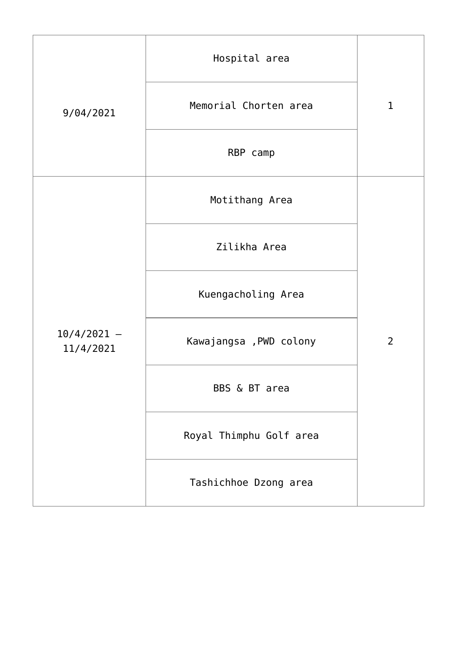| 9/04/2021                  | Hospital area           |                |
|----------------------------|-------------------------|----------------|
|                            | Memorial Chorten area   | $\mathbf{1}$   |
|                            | RBP camp                |                |
| $10/4/2021 -$<br>11/4/2021 | Motithang Area          |                |
|                            | Zilikha Area            |                |
|                            | Kuengacholing Area      |                |
|                            | Kawajangsa , PWD colony | $\overline{2}$ |
|                            | BBS & BT area           |                |
|                            | Royal Thimphu Golf area |                |
|                            | Tashichhoe Dzong area   |                |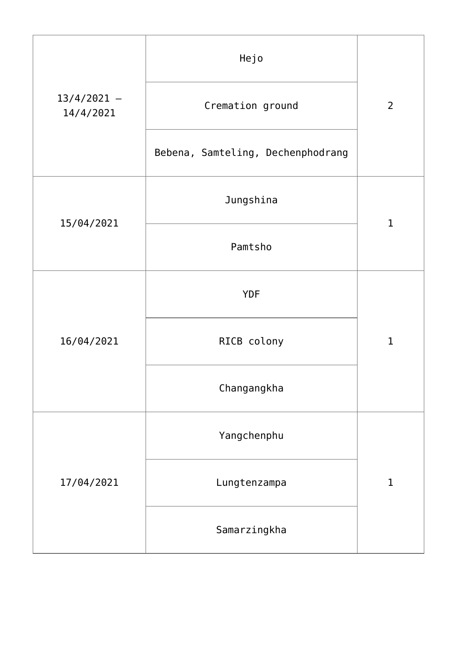| $13/4/2021 -$<br>14/4/2021 | Hejo                              |                |
|----------------------------|-----------------------------------|----------------|
|                            | Cremation ground                  | $\overline{2}$ |
|                            | Bebena, Samteling, Dechenphodrang |                |
| 15/04/2021                 | Jungshina                         | $\mathbf{1}$   |
|                            | Pamtsho                           |                |
| 16/04/2021                 | <b>YDF</b>                        |                |
|                            | RICB colony                       | $\mathbf{1}$   |
|                            | Changangkha                       |                |
| 17/04/2021                 | Yangchenphu                       |                |
|                            | Lungtenzampa                      | $\mathbf 1$    |
|                            | Samarzingkha                      |                |